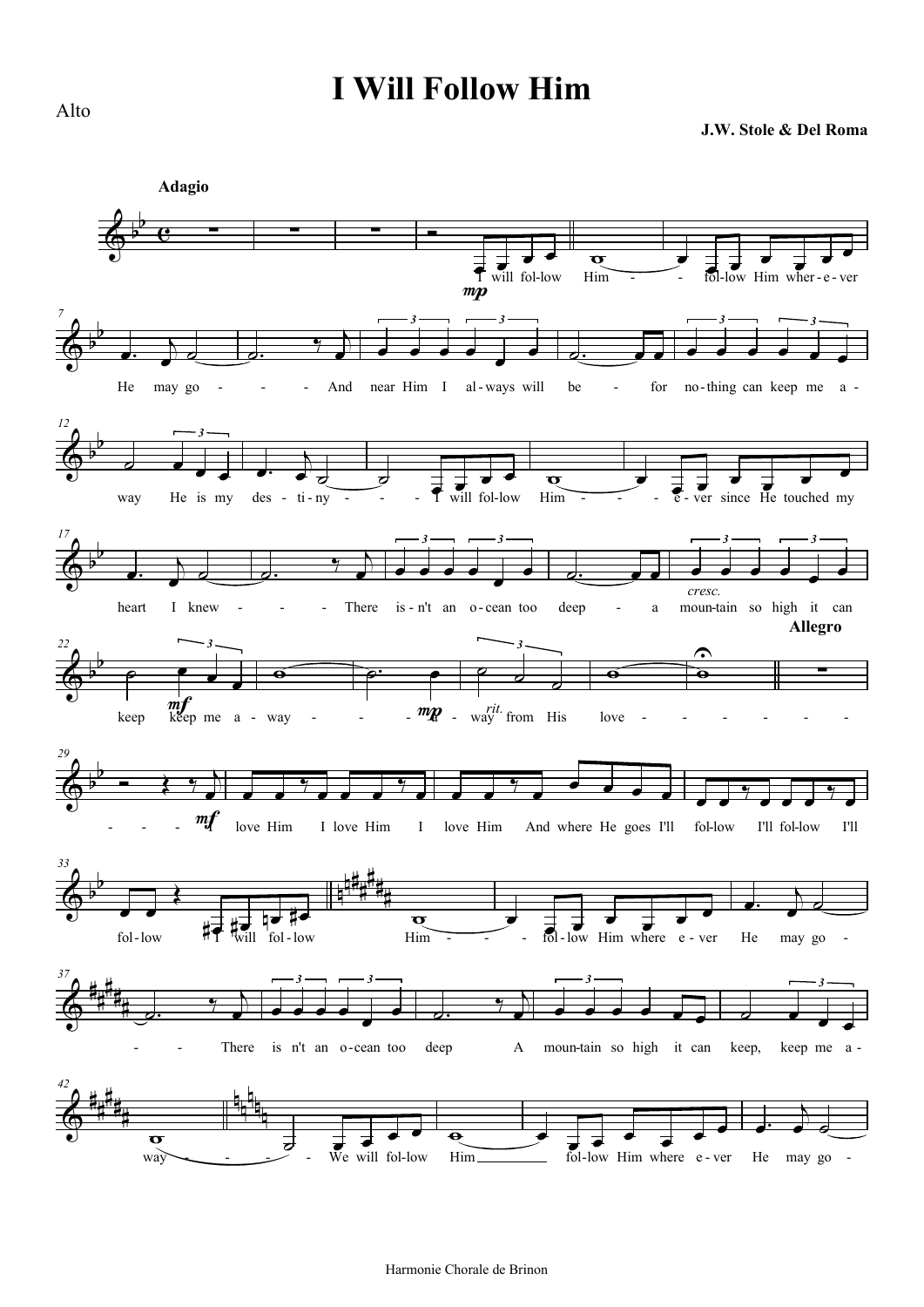## **I Will Follow Him**

**J.W. Stole & Del Roma**